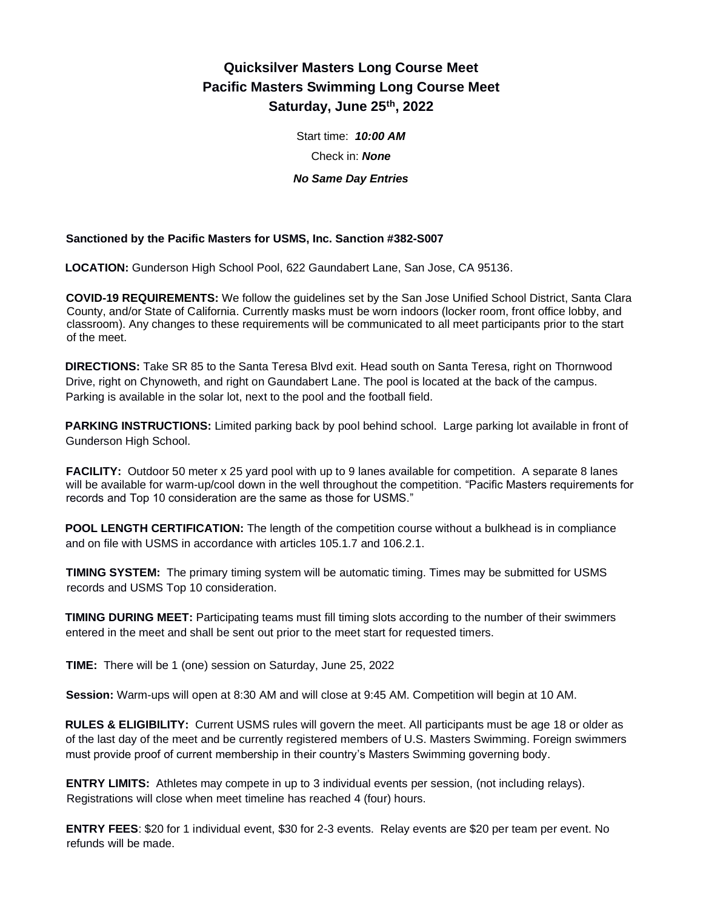# **Quicksilver Masters Long Course Meet Pacific Masters Swimming Long Course Meet Saturday, June 25th, 2022**

Start time: *10:00 AM* Check in: *None No Same Day Entries*

### **Sanctioned by the Pacific Masters for USMS, Inc. Sanction #382-S007**

**LOCATION:** Gunderson High School Pool, 622 Gaundabert Lane, San Jose, CA 95136.

**COVID-19 REQUIREMENTS:** We follow the guidelines set by the San Jose Unified School District, Santa Clara County, and/or State of California. Currently masks must be worn indoors (locker room, front office lobby, and classroom). Any changes to these requirements will be communicated to all meet participants prior to the start of the meet.

**DIRECTIONS:** Take SR 85 to the Santa Teresa Blvd exit. Head south on Santa Teresa, right on Thornwood Drive, right on Chynoweth, and right on Gaundabert Lane. The pool is located at the back of the campus. Parking is available in the solar lot, next to the pool and the football field.

**PARKING INSTRUCTIONS:** Limited parking back by pool behind school. Large parking lot available in front of Gunderson High School.

**FACILITY:** Outdoor 50 meter x 25 yard pool with up to 9 lanes available for competition. A separate 8 lanes will be available for warm-up/cool down in the well throughout the competition. "Pacific Masters requirements for records and Top 10 consideration are the same as those for USMS."

**POOL LENGTH CERTIFICATION:** The length of the competition course without a bulkhead is in compliance and on file with USMS in accordance with articles 105.1.7 and 106.2.1.

**TIMING SYSTEM:** The primary timing system will be automatic timing. Times may be submitted for USMS records and USMS Top 10 consideration.

**TIMING DURING MEET:** Participating teams must fill timing slots according to the number of their swimmers entered in the meet and shall be sent out prior to the meet start for requested timers.

**TIME:** There will be 1 (one) session on Saturday, June 25, 2022

**Session:** Warm-ups will open at 8:30 AM and will close at 9:45 AM. Competition will begin at 10 AM.

**RULES & ELIGIBILITY:** Current USMS rules will govern the meet. All participants must be age 18 or older as of the last day of the meet and be currently registered members of U.S. Masters Swimming. Foreign swimmers must provide proof of current membership in their country's Masters Swimming governing body.

**ENTRY LIMITS:** Athletes may compete in up to 3 individual events per session, (not including relays). Registrations will close when meet timeline has reached 4 (four) hours.

**ENTRY FEES**: \$20 for 1 individual event, \$30 for 2-3 events. Relay events are \$20 per team per event. No refunds will be made.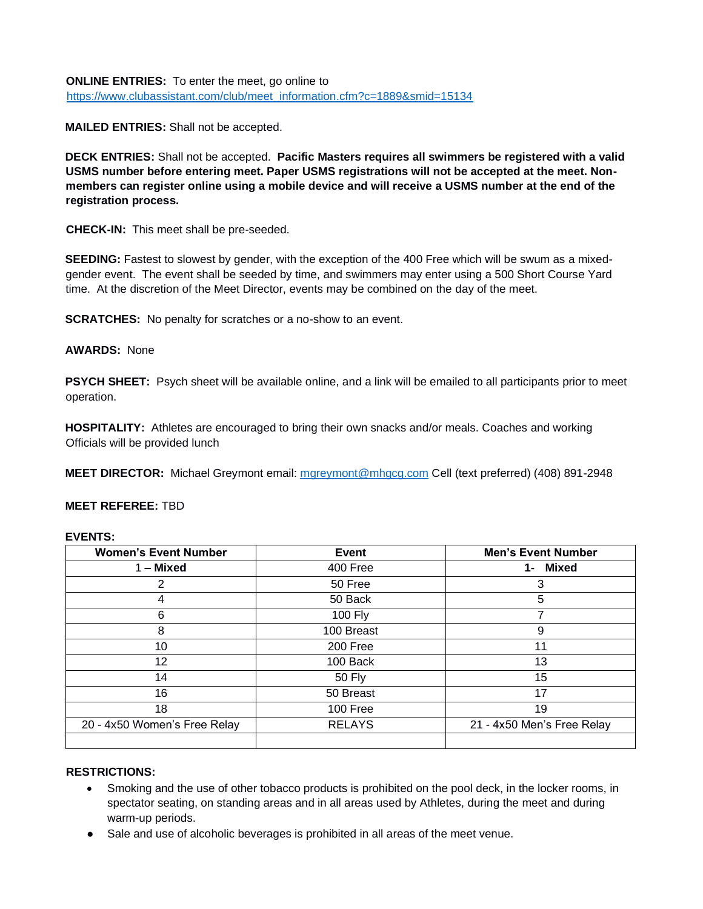**ONLINE ENTRIES:** To enter the meet, go online to [https://www.clubassistant.com/club/meet\\_information.cfm?c=1889&smid=15134](https://www.clubassistant.com/club/meet_information.cfm?c=1889&smid=15134)

**MAILED ENTRIES:** Shall not be accepted.

**DECK ENTRIES:** Shall not be accepted. **Pacific Masters requires all swimmers be registered with a valid USMS number before entering meet. Paper USMS registrations will not be accepted at the meet. Nonmembers can register online using a mobile device and will receive a USMS number at the end of the registration process.** 

**CHECK-IN:** This meet shall be pre-seeded.

**SEEDING:** Fastest to slowest by gender, with the exception of the 400 Free which will be swum as a mixedgender event. The event shall be seeded by time, and swimmers may enter using a 500 Short Course Yard time. At the discretion of the Meet Director, events may be combined on the day of the meet.

**SCRATCHES:** No penalty for scratches or a no-show to an event.

## **AWARDS:** None

**PSYCH SHEET:** Psych sheet will be available online, and a link will be emailed to all participants prior to meet operation.

**HOSPITALITY:** Athletes are encouraged to bring their own snacks and/or meals. Coaches and working Officials will be provided lunch

**MEET DIRECTOR:** Michael Greymont email: [mgreymont@mhgcg.com](mailto:mgreymont@mhgcg.com) Cell (text preferred) (408) 891-2948

### **MEET REFEREE:** TBD

### **EVENTS:**

| <b>Women's Event Number</b>  | <b>Event</b>  | <b>Men's Event Number</b>  |
|------------------------------|---------------|----------------------------|
| $1 -$ Mixed                  | 400 Free      | Mixed<br>1-                |
| 2                            | 50 Free       | 3                          |
| 4                            | 50 Back       | 5                          |
| 6                            | 100 Fly       |                            |
| 8                            | 100 Breast    | 9                          |
| 10                           | 200 Free      | 11                         |
| 12                           | 100 Back      | 13                         |
| 14                           | <b>50 Fly</b> | 15                         |
| 16                           | 50 Breast     | 17                         |
| 18                           | 100 Free      | 19                         |
| 20 - 4x50 Women's Free Relay | <b>RELAYS</b> | 21 - 4x50 Men's Free Relay |
|                              |               |                            |

### **RESTRICTIONS:**

- Smoking and the use of other tobacco products is prohibited on the pool deck, in the locker rooms, in spectator seating, on standing areas and in all areas used by Athletes, during the meet and during warm-up periods.
- Sale and use of alcoholic beverages is prohibited in all areas of the meet venue.